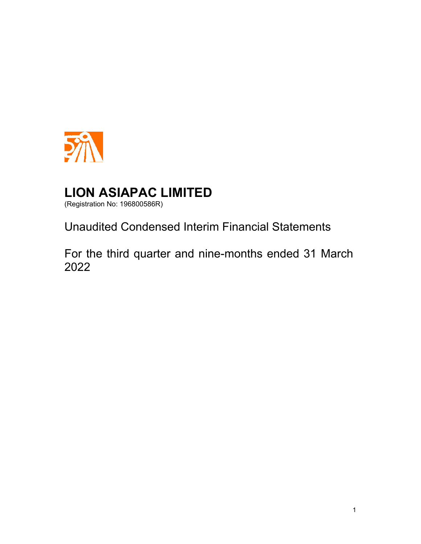

(Registration No: 196800586R)

Unaudited Condensed Interim Financial Statements

For the third quarter and nine-months ended 31 March 2022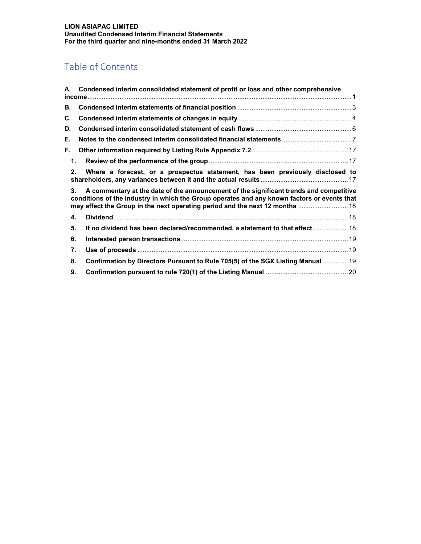## Table of Contents

|               | A. Condensed interim consolidated statement of profit or loss and other comprehensive                                                                                                                                                                                 |
|---------------|-----------------------------------------------------------------------------------------------------------------------------------------------------------------------------------------------------------------------------------------------------------------------|
| В.            |                                                                                                                                                                                                                                                                       |
| C.            |                                                                                                                                                                                                                                                                       |
| D.            |                                                                                                                                                                                                                                                                       |
| Е.            |                                                                                                                                                                                                                                                                       |
| F.            |                                                                                                                                                                                                                                                                       |
| $\mathbf 1$ . |                                                                                                                                                                                                                                                                       |
| 2.            | Where a forecast, or a prospectus statement, has been previously disclosed to                                                                                                                                                                                         |
| 3.            | A commentary at the date of the announcement of the significant trends and competitive<br>conditions of the industry in which the Group operates and any known factors or events that<br>may affect the Group in the next operating period and the next 12 months  18 |
| 4.            |                                                                                                                                                                                                                                                                       |
| 5.            | If no dividend has been declared/recommended, a statement to that effect 18                                                                                                                                                                                           |
| 6.            |                                                                                                                                                                                                                                                                       |
| 7.            |                                                                                                                                                                                                                                                                       |
| 8.            | Confirmation by Directors Pursuant to Rule 705(5) of the SGX Listing Manual  19                                                                                                                                                                                       |
| 9.            |                                                                                                                                                                                                                                                                       |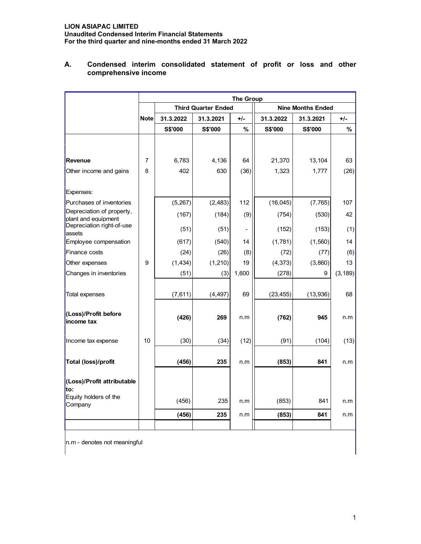|                                                  |             | <b>The Group</b> |                            |                          |           |                          |          |  |
|--------------------------------------------------|-------------|------------------|----------------------------|--------------------------|-----------|--------------------------|----------|--|
|                                                  |             |                  | <b>Third Quarter Ended</b> |                          |           | <b>Nine Months Ended</b> |          |  |
|                                                  | <b>Note</b> | 31.3.2022        | 31.3.2021                  | $+/-$                    | 31.3.2022 | 31.3.2021                | $+/-$    |  |
|                                                  |             | S\$'000          | S\$'000                    | %                        | S\$'000   | S\$'000                  | %        |  |
|                                                  |             |                  |                            |                          |           |                          |          |  |
| Revenue                                          | 7           | 6,783            | 4,136                      | 64                       | 21,370    | 13,104                   | 63       |  |
| Other income and gains                           | 8           | 402              | 630                        | (36)                     | 1,323     | 1,777                    | (26)     |  |
| Expenses:                                        |             |                  |                            |                          |           |                          |          |  |
| Purchases of inventories                         |             | (5,267)          | (2, 483)                   | 112                      | (16, 045) | (7, 765)                 | 107      |  |
| Depreciation of property,<br>plant and equipment |             | (167)            | (184)                      | (9)                      | (754)     | (530)                    | 42       |  |
| Depreciation right-of-use<br>assets              |             | (51)             | (51)                       | $\overline{\phantom{a}}$ | (152)     | (153)                    | (1)      |  |
| Employee compensation                            |             | (617)            | (540)                      | 14                       | (1,781)   | (1,560)                  | 14       |  |
| Finance costs                                    |             | (24)             | (26)                       | (8)                      | (72)      | (77)                     | (6)      |  |
| Other expenses                                   | 9           | (1, 434)         | (1, 210)                   | 19                       | (4, 373)  | (3,860)                  | 13       |  |
| Changes in inventories                           |             | (51)             | (3)                        | 1,600                    | (278)     | 9                        | (3, 189) |  |
| <b>Total expenses</b>                            |             | (7,611)          | (4, 497)                   | 69                       | (23, 455) | (13,936)                 | 68       |  |
| (Loss)/Profit before<br>income tax               |             | (426)            | 269                        | n.m                      | (762)     | 945                      | n.m      |  |
| Income tax expense                               | 10          | (30)             | (34)                       | (12)                     | (91)      | (104)                    | (13)     |  |
| <b>Total (loss)/profit</b>                       |             | (456)            | 235                        | n.m                      | (853)     | 841                      | n.m      |  |
| (Loss)/Profit attributable<br>lto:               |             |                  |                            |                          |           |                          |          |  |
| Equity holders of the<br>Company                 |             | (456)            | 235                        | n.m                      | (853)     | 841                      | n.m      |  |
|                                                  |             | (456)            | 235                        | n.m                      | (853)     | 841                      | n.m      |  |
|                                                  |             |                  |                            |                          |           |                          |          |  |

## **A. Condensed interim consolidated statement of profit or loss and other comprehensive income**

n.m - denotes not meaningful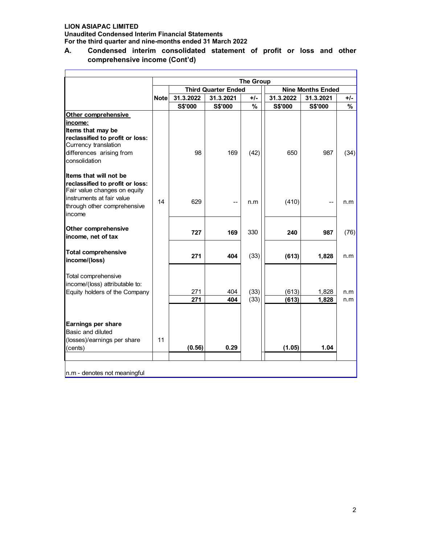**Unaudited Condensed Interim Financial Statements For the third quarter and nine-months ended 31 March 2022**

## **A. Condensed interim consolidated statement of profit or loss and other comprehensive income (Cont'd)**

|                                 |              |           |                            | <b>The Group</b> |                          |           |       |  |
|---------------------------------|--------------|-----------|----------------------------|------------------|--------------------------|-----------|-------|--|
|                                 |              |           | <b>Third Quarter Ended</b> |                  | <b>Nine Months Ended</b> |           |       |  |
|                                 | <b>Notel</b> | 31.3.2022 | 31.3.2021                  | $+/-$            | 31.3.2022                | 31.3.2021 | $+/-$ |  |
|                                 |              | S\$'000   | S\$'000                    | $\frac{9}{6}$    | <b>S\$'000</b>           | S\$'000   | %     |  |
| Other comprehensive             |              |           |                            |                  |                          |           |       |  |
| income:                         |              |           |                            |                  |                          |           |       |  |
| Items that may be               |              |           |                            |                  |                          |           |       |  |
| reclassified to profit or loss: |              |           |                            |                  |                          |           |       |  |
| Currency translation            |              |           |                            |                  |                          |           |       |  |
| differences arising from        |              | 98        | 169                        | (42)             | 650                      | 987       | (34)  |  |
| consolidation                   |              |           |                            |                  |                          |           |       |  |
| <b>Items that will not be</b>   |              |           |                            |                  |                          |           |       |  |
| reclassified to profit or loss: |              |           |                            |                  |                          |           |       |  |
| Fair value changes on equity    |              |           |                            |                  |                          |           |       |  |
| instruments at fair value       | 14           | 629       | --                         | n.m              | (410)                    |           | n.m   |  |
| through other comprehensive     |              |           |                            |                  |                          |           |       |  |
| income                          |              |           |                            |                  |                          |           |       |  |
| <b>Other comprehensive</b>      |              |           |                            | 330              |                          |           |       |  |
| income, net of tax              |              | 727       | 169                        |                  | 240                      | 987       | (76)  |  |
| <b>Total comprehensive</b>      |              |           |                            |                  |                          |           |       |  |
| income/(loss)                   |              | 271       | 404                        | (33)             | (613)                    | 1,828     | n.m   |  |
|                                 |              |           |                            |                  |                          |           |       |  |
| Total comprehensive             |              |           |                            |                  |                          |           |       |  |
| income/(loss) attributable to:  |              |           |                            |                  |                          |           |       |  |
| Equity holders of the Company   |              | 271       | 404                        | (33)             | (613)                    | 1,828     | n.m   |  |
|                                 |              | 271       | 404                        | (33)             | (613)                    | 1,828     | n.m   |  |
|                                 |              |           |                            |                  |                          |           |       |  |
| Earnings per share              |              |           |                            |                  |                          |           |       |  |
| Basic and diluted               |              |           |                            |                  |                          |           |       |  |
| (losses)/earnings per share     | 11           |           |                            |                  |                          |           |       |  |
| (cents)                         |              | (0.56)    | 0.29                       |                  | (1.05)                   | 1.04      |       |  |
|                                 |              |           |                            |                  |                          |           |       |  |
|                                 |              |           |                            |                  |                          |           |       |  |
| n.m - denotes not meaningful    |              |           |                            |                  |                          |           |       |  |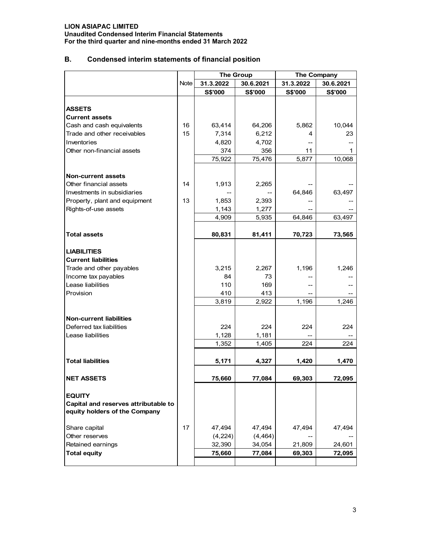**Unaudited Condensed Interim Financial Statements For the third quarter and nine-months ended 31 March 2022**

## **B. Condensed interim statements of financial position**

|                                                                       |             | <b>The Group</b> |           | The Company    |           |
|-----------------------------------------------------------------------|-------------|------------------|-----------|----------------|-----------|
|                                                                       | <b>Note</b> | 31.3.2022        | 30.6.2021 | 31.3.2022      | 30.6.2021 |
|                                                                       |             | <b>S\$'000</b>   | S\$'000   | <b>S\$'000</b> | S\$'000   |
|                                                                       |             |                  |           |                |           |
| <b>ASSETS</b>                                                         |             |                  |           |                |           |
| <b>Current assets</b>                                                 |             |                  |           |                |           |
| Cash and cash equivalents                                             | 16          | 63,414           | 64,206    | 5,862          | 10,044    |
| Trade and other receivables                                           | 15          | 7,314            | 6,212     | 4              | 23        |
| Inventories                                                           |             | 4,820            | 4,702     |                |           |
| Other non-financial assets                                            |             | 374              | 356       | 11             | 1         |
|                                                                       |             | 75,922           | 75,476    | 5,877          | 10,068    |
| <b>Non-current assets</b>                                             |             |                  |           |                |           |
| Other financial assets                                                | 14          | 1,913            | 2,265     |                |           |
| Investments in subsidiaries                                           |             |                  |           | 64,846         | 63,497    |
| Property, plant and equipment                                         | 13          | 1,853            | 2,393     |                |           |
| Rights-of-use assets                                                  |             | 1,143            | 1,277     |                |           |
|                                                                       |             | 4,909            | 5,935     | 64,846         | 63,497    |
|                                                                       |             |                  |           |                |           |
| <b>Total assets</b>                                                   |             | 80,831           | 81,411    | 70,723         | 73,565    |
|                                                                       |             |                  |           |                |           |
| <b>LIABILITIES</b>                                                    |             |                  |           |                |           |
| <b>Current liabilities</b>                                            |             |                  |           |                |           |
| Trade and other payables                                              |             | 3,215            | 2,267     | 1,196          | 1,246     |
| Income tax payables                                                   |             | 84               | 73        |                |           |
| Lease liabilities                                                     |             | 110              | 169       |                |           |
| Provision                                                             |             | 410              | 413       |                |           |
|                                                                       |             | 3,819            | 2,922     | 1,196          | 1,246     |
|                                                                       |             |                  |           |                |           |
| <b>Non-current liabilities</b><br>Deferred tax liabilities            |             | 224              | 224       |                | 224       |
| Lease liabilities                                                     |             | 1,128            | 1,181     | 224            |           |
|                                                                       |             | 1,352            | 1,405     | 224            | 224       |
|                                                                       |             |                  |           |                |           |
| <b>Total liabilities</b>                                              |             | 5,171            | 4,327     | 1,420          | 1,470     |
|                                                                       |             |                  |           |                |           |
| <b>NET ASSETS</b>                                                     |             | 75,660           | 77,084    | 69,303         | 72,095    |
| <b>EQUITY</b>                                                         |             |                  |           |                |           |
| Capital and reserves attributable to<br>equity holders of the Company |             |                  |           |                |           |
| Share capital                                                         | 17          | 47,494           | 47,494    | 47,494         | 47,494    |
| Other reserves                                                        |             | (4,224)          | (4, 464)  |                |           |
| Retained earnings                                                     |             | 32,390           | 34,054    | 21,809         | 24,601    |
| <b>Total equity</b>                                                   |             | 75,660           | 77,084    | 69,303         | 72,095    |
|                                                                       |             |                  |           |                |           |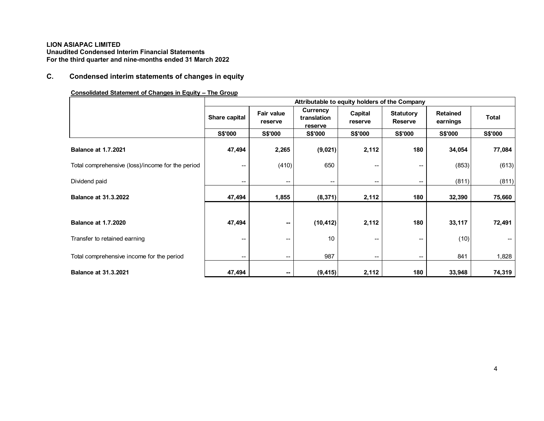## **C. Condensed interim statements of changes in equity**

#### **Consolidated Statement of Changes in Equity – The Group**

|                                                  |                          | Attributable to equity holders of the Company |                                    |                    |                                    |                             |                |  |
|--------------------------------------------------|--------------------------|-----------------------------------------------|------------------------------------|--------------------|------------------------------------|-----------------------------|----------------|--|
|                                                  | Share capital            | <b>Fair value</b><br>reserve                  | Currency<br>translation<br>reserve | Capital<br>reserve | <b>Statutory</b><br><b>Reserve</b> | <b>Retained</b><br>earnings | <b>Total</b>   |  |
|                                                  | <b>S\$'000</b>           | <b>S\$'000</b>                                | <b>S\$'000</b>                     | <b>S\$'000</b>     | <b>S\$'000</b>                     | <b>S\$'000</b>              | <b>S\$'000</b> |  |
| <b>Balance at 1.7.2021</b>                       | 47,494                   | 2,265                                         | (9,021)                            | 2,112              | 180                                | 34,054                      | 77,084         |  |
| Total comprehensive (loss)/income for the period | --                       | (410)                                         | 650                                | --                 | --                                 | (853)                       | (613)          |  |
| Dividend paid                                    | $\overline{\phantom{a}}$ | $\overline{\phantom{a}}$                      | $\overline{\phantom{a}}$           | $-$                | --                                 | (811)                       | (811)          |  |
| <b>Balance at 31.3.2022</b>                      | 47,494                   | 1,855                                         | (8, 371)                           | 2,112              | 180                                | 32,390                      | 75,660         |  |
|                                                  |                          |                                               |                                    |                    |                                    |                             |                |  |
| <b>Balance at 1.7.2020</b>                       | 47,494                   | $\sim$                                        | (10, 412)                          | 2,112              | 180                                | 33,117                      | 72,491         |  |
| Transfer to retained earning                     | --                       | $-$                                           | 10                                 | --                 | $\overline{\phantom{m}}$           | (10)                        |                |  |
| Total comprehensive income for the period        | $\overline{\phantom{a}}$ | $-$                                           | 987                                | --                 | $\overline{\phantom{m}}$           | 841                         | 1,828          |  |
| <b>Balance at 31.3.2021</b>                      | 47,494                   | $\sim$                                        | (9, 415)                           | 2,112              | 180                                | 33,948                      | 74,319         |  |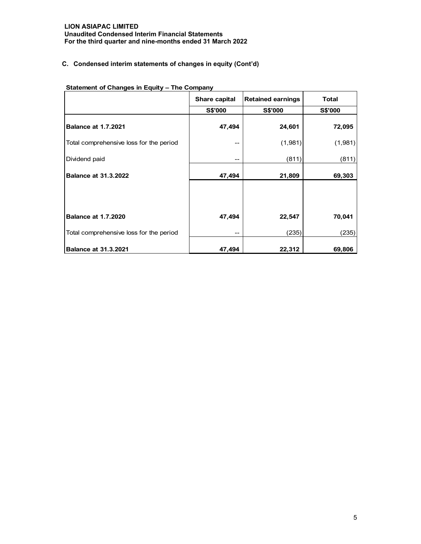## **C. Condensed interim statements of changes in equity (Cont'd)**

|                                         | Share capital  | <b>Retained earnings</b> | <b>Total</b>   |
|-----------------------------------------|----------------|--------------------------|----------------|
|                                         | <b>S\$'000</b> | <b>S\$'000</b>           | <b>S\$'000</b> |
| <b>Balance at 1.7.2021</b>              | 47,494         | 24,601                   | 72,095         |
| Total comprehensive loss for the period | --             | (1,981)                  | (1,981)        |
| Dividend paid                           | --             | (811)                    | (811)          |
| <b>Balance at 31.3.2022</b>             | 47,494         | 21,809                   | 69,303         |
|                                         |                |                          |                |
|                                         |                |                          |                |
| <b>Balance at 1.7.2020</b>              | 47,494         | 22,547                   | 70,041         |
| Total comprehensive loss for the period | --             | (235)                    | (235)          |
| <b>Balance at 31.3.2021</b>             | 47,494         | 22,312                   | 69,806         |

## **Statement of Changes in Equity – The Company**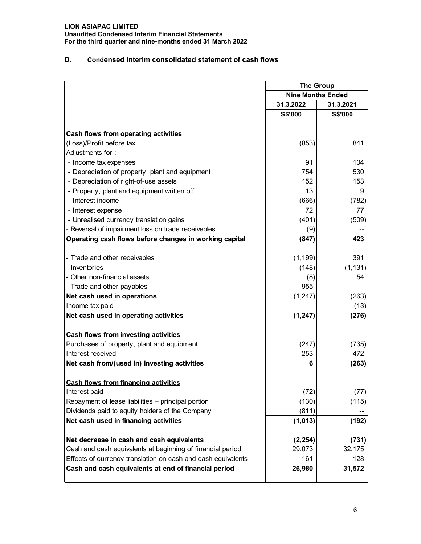**Unaudited Condensed Interim Financial Statements For the third quarter and nine-months ended 31 March 2022**

## **D. Condensed interim consolidated statement of cash flows**

|                                                              | <b>The Group</b>         |                |  |
|--------------------------------------------------------------|--------------------------|----------------|--|
|                                                              | <b>Nine Months Ended</b> |                |  |
|                                                              | 31.3.2022                | 31.3.2021      |  |
|                                                              | S\$'000                  | <b>S\$'000</b> |  |
|                                                              |                          |                |  |
| <b>Cash flows from operating activities</b>                  |                          |                |  |
| (Loss)/Profit before tax                                     | (853)                    | 841            |  |
| Adjustments for:                                             |                          |                |  |
| - Income tax expenses                                        | 91                       | 104            |  |
| - Depreciation of property, plant and equipment              | 754                      | 530            |  |
| - Depreciation of right-of-use assets                        | 152                      | 153            |  |
| - Property, plant and equipment written off                  | 13                       | 9              |  |
| - Interest income                                            | (666)                    | (782)          |  |
| - Interest expense                                           | 72                       | 77             |  |
| - Unrealised currency translation gains                      | (401)                    | (509)          |  |
| - Reversal of impairment loss on trade receivebles           | (9)                      |                |  |
| Operating cash flows before changes in working capital       | (847)                    | 423            |  |
| - Trade and other receivables                                | (1, 199)                 | 391            |  |
| - Inventories                                                | (148)                    | (1, 131)       |  |
| - Other non-financial assets                                 | (8)                      | 54             |  |
| - Trade and other payables                                   | 955                      |                |  |
| Net cash used in operations                                  | (1, 247)                 | (263)          |  |
| Income tax paid                                              |                          | (13)           |  |
| Net cash used in operating activities                        | (1, 247)                 | (276)          |  |
| <b>Cash flows from investing activities</b>                  |                          |                |  |
| Purchases of property, plant and equipment                   | (247)                    | (735)          |  |
| Interest received                                            | 253                      | 472            |  |
|                                                              |                          |                |  |
| Net cash from/(used in) investing activities                 | 6                        | (263)          |  |
| <b>Cash flows from financing activities</b>                  |                          |                |  |
| Interest paid                                                | (72)                     | (77)           |  |
| Repayment of lease liabilities - principal portion           | (130)                    | (115)          |  |
| Dividends paid to equity holders of the Company              | (811)                    |                |  |
| Net cash used in financing activities                        | (1,013)                  | (192)          |  |
| Net decrease in cash and cash equivalents                    | (2, 254)                 | (731)          |  |
| Cash and cash equivalents at beginning of financial period   | 29,073                   | 32,175         |  |
| Effects of currency translation on cash and cash equivalents | 161                      | 128            |  |
| Cash and cash equivalents at end of financial period         | 26,980                   | 31,572         |  |
|                                                              |                          |                |  |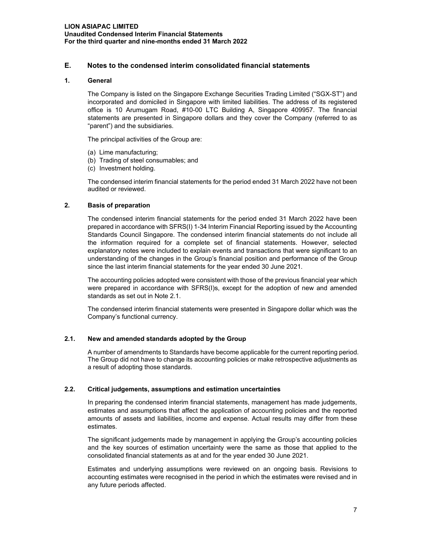## **E. Notes to the condensed interim consolidated financial statements**

## **1. General**

The Company is listed on the Singapore Exchange Securities Trading Limited ("SGX-ST") and incorporated and domiciled in Singapore with limited liabilities. The address of its registered office is 10 Arumugam Road, #10-00 LTC Building A, Singapore 409957. The financial statements are presented in Singapore dollars and they cover the Company (referred to as "parent") and the subsidiaries.

The principal activities of the Group are:

- (a) Lime manufacturing;
- (b) Trading of steel consumables; and
- (c) Investment holding.

The condensed interim financial statements for the period ended 31 March 2022 have not been audited or reviewed.

## **2. Basis of preparation**

The condensed interim financial statements for the period ended 31 March 2022 have been prepared in accordance with SFRS(I) 1-34 Interim Financial Reporting issued by the Accounting Standards Council Singapore. The condensed interim financial statements do not include all the information required for a complete set of financial statements. However, selected explanatory notes were included to explain events and transactions that were significant to an understanding of the changes in the Group's financial position and performance of the Group since the last interim financial statements for the year ended 30 June 2021.

The accounting policies adopted were consistent with those of the previous financial year which were prepared in accordance with SFRS(I)s, except for the adoption of new and amended standards as set out in Note 2.1.

The condensed interim financial statements were presented in Singapore dollar which was the Company's functional currency.

#### **2.1. New and amended standards adopted by the Group**

A number of amendments to Standards have become applicable for the current reporting period. The Group did not have to change its accounting policies or make retrospective adjustments as a result of adopting those standards.

## **2.2. Critical judgements, assumptions and estimation uncertainties**

In preparing the condensed interim financial statements, management has made judgements, estimates and assumptions that affect the application of accounting policies and the reported amounts of assets and liabilities, income and expense. Actual results may differ from these estimates.

The significant judgements made by management in applying the Group's accounting policies and the key sources of estimation uncertainty were the same as those that applied to the consolidated financial statements as at and for the year ended 30 June 2021.

Estimates and underlying assumptions were reviewed on an ongoing basis. Revisions to accounting estimates were recognised in the period in which the estimates were revised and in any future periods affected.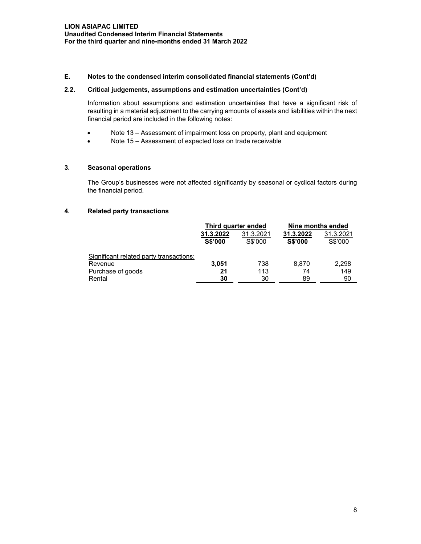## **E. Notes to the condensed interim consolidated financial statements (Cont'd)**

#### **2.2. Critical judgements, assumptions and estimation uncertainties (Cont'd)**

Information about assumptions and estimation uncertainties that have a significant risk of resulting in a material adjustment to the carrying amounts of assets and liabilities within the next financial period are included in the following notes:

- Note 13 Assessment of impairment loss on property, plant and equipment
- Note 15 Assessment of expected loss on trade receivable

## **3. Seasonal operations**

The Group's businesses were not affected significantly by seasonal or cyclical factors during the financial period.

#### **4. Related party transactions**

|                                         | Third quarter ended         |                      | Nine months ended           |                      |
|-----------------------------------------|-----------------------------|----------------------|-----------------------------|----------------------|
|                                         | 31.3.2022<br><b>S\$'000</b> | 31.3.2021<br>S\$'000 | 31.3.2022<br><b>S\$'000</b> | 31.3.2021<br>S\$'000 |
| Significant related party transactions: |                             |                      |                             |                      |
| Revenue                                 | 3,051                       | 738                  | 8.870                       | 2,298                |
| Purchase of goods                       | 21                          | 113                  | 74                          | 149                  |
| Rental                                  | 30                          | 30                   | 89                          | 90                   |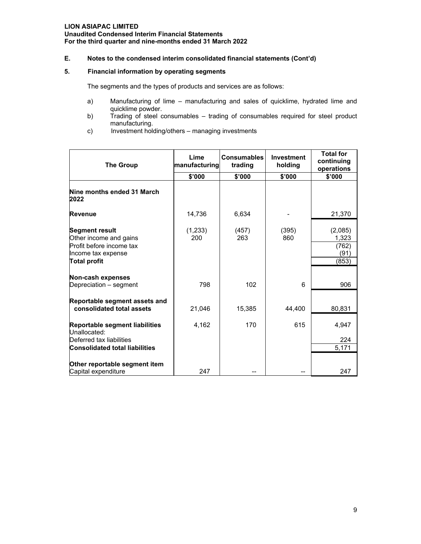## **E. Notes to the condensed interim consolidated financial statements (Cont'd)**

## **5. Financial information by operating segments**

The segments and the types of products and services are as follows:

- a) Manufacturing of lime manufacturing and sales of quicklime, hydrated lime and quicklime powder.
- b) Trading of steel consumables trading of consumables required for steel product manufacturing.
- c) Investment holding/others managing investments

| <b>The Group</b>                                                                                                         | Lime<br>manufacturing | <b>Consumables</b><br>trading | Investment<br>holding | <b>Total for</b><br>continuing<br>operations |
|--------------------------------------------------------------------------------------------------------------------------|-----------------------|-------------------------------|-----------------------|----------------------------------------------|
|                                                                                                                          | \$'000                | \$'000                        | \$'000                | \$'000                                       |
| Nine months ended 31 March<br>2022                                                                                       |                       |                               |                       |                                              |
| Revenue                                                                                                                  | 14,736                | 6,634                         |                       | 21,370                                       |
| <b>Segment result</b><br>Other income and gains<br>Profit before income tax<br>Income tax expense<br><b>Total profit</b> | (1,233)<br>200        | (457)<br>263                  | (395)<br>860          | (2,085)<br>1,323<br>(762)<br>(91)<br>(853)   |
| Non-cash expenses<br>Depreciation - segment                                                                              | 798                   | 102                           | 6                     | 906                                          |
| Reportable segment assets and<br>consolidated total assets                                                               | 21,046                | 15,385                        | 44,400                | 80,831                                       |
| Reportable segment liabilities<br>Unallocated:                                                                           | 4,162                 | 170                           | 615                   | 4,947                                        |
| Deferred tax liabilities<br><b>Consolidated total liabilities</b>                                                        |                       |                               |                       | 224<br>5,171                                 |
| Other reportable segment item<br>Capital expenditure                                                                     | 247                   |                               |                       | 247                                          |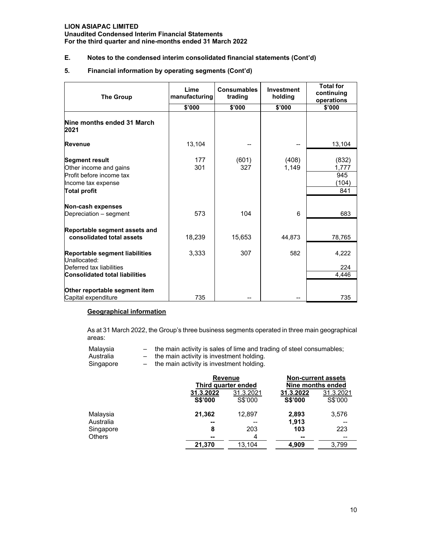**Unaudited Condensed Interim Financial Statements For the third quarter and nine-months ended 31 March 2022**

## **E. Notes to the condensed interim consolidated financial statements (Cont'd)**

#### **5. Financial information by operating segments (Cont'd)**

| <b>The Group</b>                                                                                                         | Lime<br>manufacturing | <b>Consumables</b><br>trading | Investment<br>holding | <b>Total for</b><br>continuing<br>operations |
|--------------------------------------------------------------------------------------------------------------------------|-----------------------|-------------------------------|-----------------------|----------------------------------------------|
|                                                                                                                          | \$'000                | \$'000                        | \$'000                | \$'000                                       |
| Nine months ended 31 March<br>2021                                                                                       |                       |                               |                       |                                              |
| <b>Revenue</b>                                                                                                           | 13,104                |                               |                       | 13,104                                       |
| <b>Segment result</b><br>Other income and gains<br>Profit before income tax<br>Income tax expense<br><b>Total profit</b> | 177<br>301            | (601)<br>327                  | (408)<br>1,149        | (832)<br>1,777<br>945<br>(104)<br>841        |
|                                                                                                                          |                       |                               |                       |                                              |
| Non-cash expenses<br>Depreciation - segment                                                                              | 573                   | 104                           | 6                     | 683                                          |
| Reportable segment assets and<br>consolidated total assets                                                               | 18,239                | 15,653                        | 44,873                | 78,765                                       |
| Reportable segment liabilities<br>Unallocated:                                                                           | 3,333                 | 307                           | 582                   | 4,222                                        |
| Deferred tax liabilities                                                                                                 |                       |                               |                       | 224                                          |
| <b>Consolidated total liabilities</b>                                                                                    |                       |                               |                       | 4,446                                        |
| Other reportable segment item<br>Capital expenditure                                                                     | 735                   |                               |                       | 735                                          |

## **Geographical information**

As at 31 March 2022, the Group's three business segments operated in three main geographical areas:

| Malavsia |  |  | the main activity is sales of lime and trading of steel consumables; |  |  |
|----------|--|--|----------------------------------------------------------------------|--|--|
|----------|--|--|----------------------------------------------------------------------|--|--|

- 
- Australia  $-$  the main activity is investment holding.<br>Singapore  $-$  the main activity is investment holding.  $-$  the main activity is investment holding.

|               |                | <b>Revenue</b><br>Third quarter ended |           | <b>Non-current assets</b><br>Nine months ended |  |
|---------------|----------------|---------------------------------------|-----------|------------------------------------------------|--|
|               | 31.3.2022      | 31.3.2021                             | 31.3.2022 | 31.3.2021                                      |  |
|               | <b>S\$'000</b> | S\$'000                               | S\$'000   | S\$'000                                        |  |
| Malaysia      | 21,362         | 12,897                                | 2,893     | 3,576                                          |  |
| Australia     | --             | --                                    | 1,913     |                                                |  |
| Singapore     | 8              | 203                                   | 103       | 223                                            |  |
| <b>Others</b> | --             | 4                                     | --        | --                                             |  |
|               | 21,370         | 13,104                                | 4,909     | 3,799                                          |  |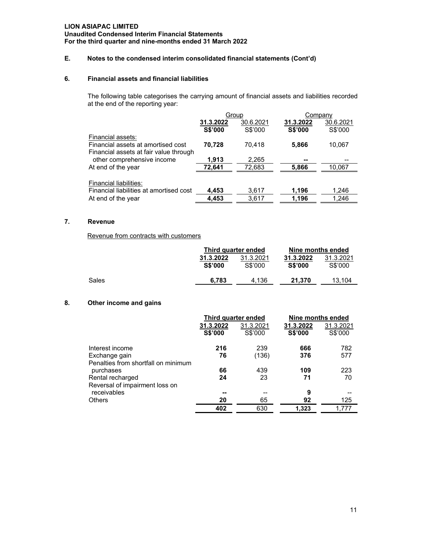## **E. Notes to the condensed interim consolidated financial statements (Cont'd)**

## **6. Financial assets and financial liabilities**

The following table categorises the carrying amount of financial assets and liabilities recorded at the end of the reporting year:

|                                         | Group          |           | Company        |           |
|-----------------------------------------|----------------|-----------|----------------|-----------|
|                                         | 31.3.2022      | 30.6.2021 | 31.3.2022      | 30.6.2021 |
|                                         | <b>S\$'000</b> | S\$'000   | <b>S\$'000</b> | S\$'000   |
| Financial assets:                       |                |           |                |           |
| Financial assets at amortised cost      | 70,728         | 70,418    | 5,866          | 10,067    |
| Financial assets at fair value through  |                |           |                |           |
| other comprehensive income              | 1,913          | 2,265     | --             |           |
| At end of the year                      | 72,641         | 72,683    | 5,866          | 10,067    |
|                                         |                |           |                |           |
| Financial liabilities:                  |                |           |                |           |
| Financial liabilities at amortised cost | 4,453          | 3,617     | 1,196          | 1,246     |
| At end of the year                      | 4,453          | 3,617     | 1,196          | 1,246     |

## **7. Revenue**

Revenue from contracts with customers

|       | Third quarter ended         |                      | Nine months ended           |                      |
|-------|-----------------------------|----------------------|-----------------------------|----------------------|
|       | 31.3.2022<br><b>S\$'000</b> | 31.3.2021<br>S\$'000 | 31.3.2022<br><b>S\$'000</b> | 31.3.2021<br>S\$'000 |
| Sales | 6.783                       | 4.136                | 21.370                      | 13.104               |

## **8. Other income and gains**

|                                     | Third quarter ended  |                      |                      | Nine months ended    |
|-------------------------------------|----------------------|----------------------|----------------------|----------------------|
|                                     | 31.3.2022<br>S\$'000 | 31.3.2021<br>S\$'000 | 31.3.2022<br>S\$'000 | 31.3.2021<br>S\$'000 |
| Interest income                     | 216                  | 239                  | 666                  | 782                  |
| Exchange gain                       | 76                   | (136)                | 376                  | 577                  |
| Penalties from shortfall on minimum |                      |                      |                      |                      |
| purchases                           | 66                   | 439                  | 109                  | 223                  |
| Rental recharged                    | 24                   | 23                   | 71                   | 70                   |
| Reversal of impairment loss on      |                      |                      |                      |                      |
| receivables                         |                      | --                   | 9                    |                      |
| <b>Others</b>                       | 20                   | 65                   | 92                   | 125                  |
|                                     | 402                  | 630                  | 1.323                | 1.777                |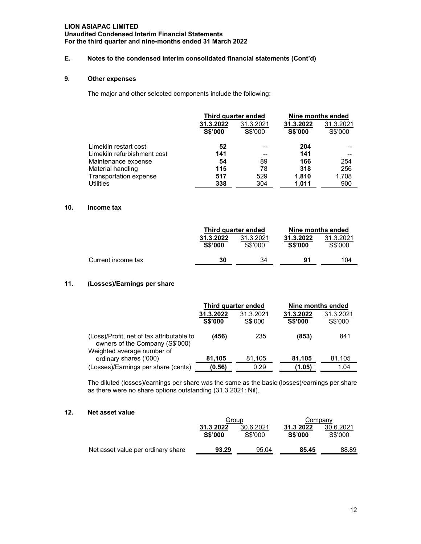#### **Unaudited Condensed Interim Financial Statements For the third quarter and nine-months ended 31 March 2022**

## **E. Notes to the condensed interim consolidated financial statements (Cont'd)**

## **9. Other expenses**

The major and other selected components include the following:

|                             | Third quarter ended |           | Nine months ended |           |
|-----------------------------|---------------------|-----------|-------------------|-----------|
|                             | 31.3.2022           | 31.3.2021 | 31.3.2022         | 31.3.2021 |
|                             | <b>S\$'000</b>      | S\$'000   | <b>S\$'000</b>    | S\$'000   |
| Limekiln restart cost       | 52                  |           | 204               |           |
| Limekiln refurbishment cost | 141                 | --        | 141               | --        |
| Maintenance expense         | 54                  | 89        | 166               | 254       |
| Material handling           | 115                 | 78        | 318               | 256       |
| Transportation expense      | 517                 | 529       | 1,810             | 1,708     |
| <b>Utilities</b>            | 338                 | 304       | 1,011             | 900       |

#### **10. Income tax**

|                    | Third quarter ended         |                      | Nine months ended           |                      |
|--------------------|-----------------------------|----------------------|-----------------------------|----------------------|
|                    | 31.3.2022<br><b>S\$'000</b> | 31.3.2021<br>S\$'000 | 31.3.2022<br><b>S\$'000</b> | 31.3.2021<br>S\$'000 |
| Current income tax | 30                          | 34                   | 91                          | 104                  |

## **11. (Losses)/Earnings per share**

|                                                                                                            | Third quarter ended         |                      | Nine months ended           |                      |
|------------------------------------------------------------------------------------------------------------|-----------------------------|----------------------|-----------------------------|----------------------|
|                                                                                                            | 31.3.2022<br><b>S\$'000</b> | 31.3.2021<br>S\$'000 | 31.3.2022<br><b>S\$'000</b> | 31.3.2021<br>S\$'000 |
| (Loss)/Profit, net of tax attributable to<br>owners of the Company (S\$'000)<br>Weighted average number of | (456)                       | 235                  | (853)                       | 841                  |
| ordinary shares ('000)                                                                                     | 81,105                      | 81,105               | 81,105                      | 81,105               |
| (Losses)/Earnings per share (cents)                                                                        | (0.56)                      | 0.29                 | (1.05)                      | 1.04                 |

The diluted (losses)/earnings per share was the same as the basic (losses)/earnings per share as there were no share options outstanding (31.3.2021: Nil).

## **12. Net asset value**

|                                    | Group                       |                      | Company                     |                      |
|------------------------------------|-----------------------------|----------------------|-----------------------------|----------------------|
|                                    | 31.3 2022<br><b>S\$'000</b> | 30.6.2021<br>S\$'000 | 31.3 2022<br><b>S\$'000</b> | 30.6.2021<br>S\$'000 |
| Net asset value per ordinary share | 93.29                       | 95.04                | 85.45                       | 88.89                |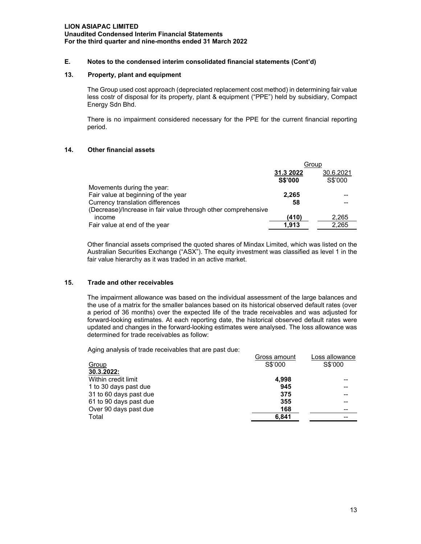## **E. Notes to the condensed interim consolidated financial statements (Cont'd)**

#### **13. Property, plant and equipment**

The Group used cost approach (depreciated replacement cost method) in determining fair value less costr of disposal for its property, plant & equipment ("PPE") held by subsidiary, Compact Energy Sdn Bhd.

There is no impairment considered necessary for the PPE for the current financial reporting period.

#### **14. Other financial assets**

|                                                               | Group          |         |
|---------------------------------------------------------------|----------------|---------|
|                                                               | 31.3 2022      |         |
|                                                               | <b>S\$'000</b> | S\$'000 |
| Movements during the year:                                    |                |         |
| Fair value at beginning of the year                           | 2.265          |         |
| Currency translation differences                              | 58             |         |
| (Decrease)/Increase in fair value through other comprehensive |                |         |
| income                                                        | (410)          | 2,265   |
| Fair value at end of the year                                 | 1.913          | 2,265   |

Other financial assets comprised the quoted shares of Mindax Limited, which was listed on the Australian Securities Exchange ("ASX"). The equity investment was classified as level 1 in the fair value hierarchy as it was traded in an active market.

#### **15. Trade and other receivables**

The impairment allowance was based on the individual assessment of the large balances and the use of a matrix for the smaller balances based on its historical observed default rates (over a period of 36 months) over the expected life of the trade receivables and was adjusted for forward-looking estimates. At each reporting date, the historical observed default rates were updated and changes in the forward-looking estimates were analysed. The loss allowance was determined for trade receivables as follow:

Aging analysis of trade receivables that are past due:

|                        | Gross amount | Loss allowance |
|------------------------|--------------|----------------|
| Group                  | S\$'000      | S\$'000        |
| 30.3.2022:             |              |                |
| Within credit limit    | 4,998        |                |
| 1 to 30 days past due  | 945          | --             |
| 31 to 60 days past due | 375          |                |
| 61 to 90 days past due | 355          |                |
| Over 90 days past due  | 168          | --             |
| Total                  | 6.841        |                |
|                        |              |                |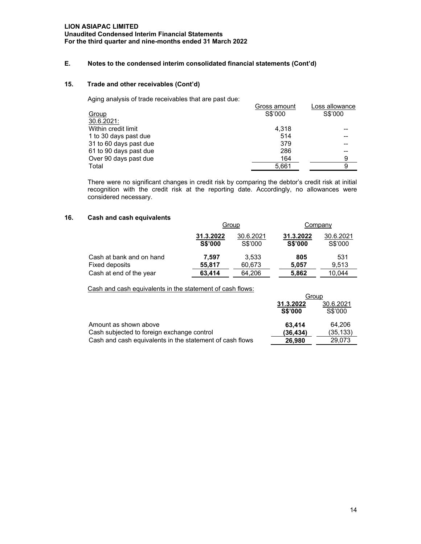## **E. Notes to the condensed interim consolidated financial statements (Cont'd)**

## **15. Trade and other receivables (Cont'd)**

Aging analysis of trade receivables that are past due:

|                        | Gross amount | Loss allowance |
|------------------------|--------------|----------------|
| Group                  | S\$'000      | S\$'000        |
| 30.6.2021:             |              |                |
| Within credit limit    | 4.318        |                |
| 1 to 30 days past due  | 514          |                |
| 31 to 60 days past due | 379          | --             |
| 61 to 90 days past due | 286          |                |
| Over 90 days past due  | 164          | 9              |
| Total                  | 5,661        | 9              |
|                        |              |                |

There were no significant changes in credit risk by comparing the debtor's credit risk at initial recognition with the credit risk at the reporting date. Accordingly, no allowances were considered necessary.

#### **16. Cash and cash equivalents**

|                          | Group                       |                      | Company                     |                      |
|--------------------------|-----------------------------|----------------------|-----------------------------|----------------------|
|                          | 31.3.2022<br><b>S\$'000</b> | 30.6.2021<br>S\$'000 | 31.3.2022<br><b>S\$'000</b> | 30.6.2021<br>S\$'000 |
| Cash at bank and on hand | 7.597                       | 3.533                | 805                         | 531                  |
| Fixed deposits           | 55,817                      | 60,673               | 5.057                       | 9.513                |
| Cash at end of the year  | 63,414                      | 64.206               | 5,862                       | 10.044               |

Cash and cash equivalents in the statement of cash flows:

|                                                          | Group                       |                      |  |
|----------------------------------------------------------|-----------------------------|----------------------|--|
|                                                          | 31.3.2022<br><b>S\$'000</b> | 30.6.2021<br>S\$'000 |  |
| Amount as shown above                                    | 63.414                      | 64.206               |  |
| Cash subjected to foreign exchange control               | (36.434)                    | (35, 133)            |  |
| Cash and cash equivalents in the statement of cash flows | 26,980                      | 29.073               |  |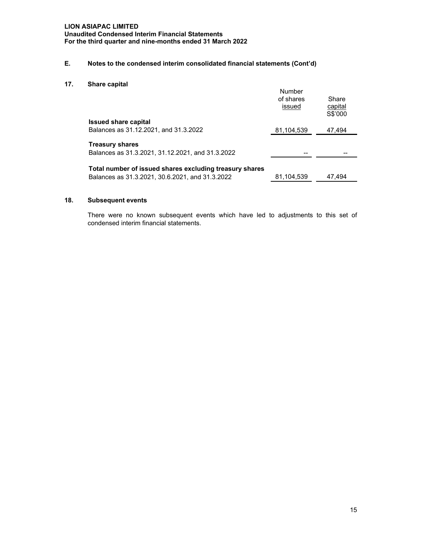**Unaudited Condensed Interim Financial Statements For the third quarter and nine-months ended 31 March 2022**

## **E. Notes to the condensed interim consolidated financial statements (Cont'd)**

**17. Share capital** 

|                                                                                                            | Number<br>of shares<br>issued | Share<br>capital<br>S\$'000 |
|------------------------------------------------------------------------------------------------------------|-------------------------------|-----------------------------|
| <b>Issued share capital</b>                                                                                |                               |                             |
| Balances as 31.12.2021, and 31.3.2022                                                                      | 81,104,539                    | 47,494                      |
| <b>Treasury shares</b><br>Balances as 31.3.2021, 31.12.2021, and 31.3.2022                                 |                               |                             |
| Total number of issued shares excluding treasury shares<br>Balances as 31.3.2021, 30.6.2021, and 31.3.2022 | 81,104,539                    | 47.494                      |

## **18. Subsequent events**

There were no known subsequent events which have led to adjustments to this set of condensed interim financial statements.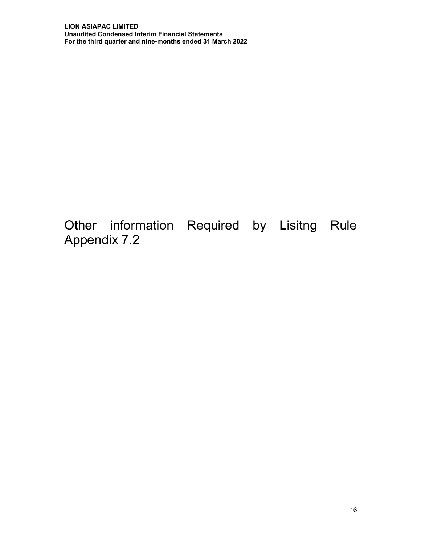Other information Required by Lisitng Rule Appendix 7.2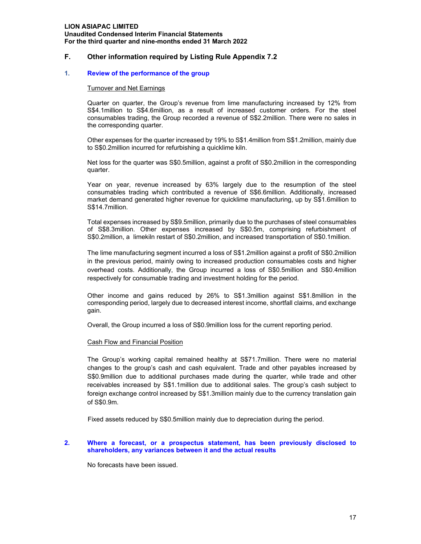## **F. Other information required by Listing Rule Appendix 7.2**

#### **1. Review of the performance of the group**

#### Turnover and Net Earnings

Quarter on quarter, the Group's revenue from lime manufacturing increased by 12% from S\$4.1million to S\$4.6million, as a result of increased customer orders. For the steel consumables trading, the Group recorded a revenue of S\$2.2million. There were no sales in the corresponding quarter.

Other expenses for the quarter increased by 19% to S\$1.4million from S\$1.2million, mainly due to S\$0.2million incurred for refurbishing a quicklime kiln.

Net loss for the quarter was S\$0.5million, against a profit of S\$0.2million in the corresponding quarter.

Year on year, revenue increased by 63% largely due to the resumption of the steel consumables trading which contributed a revenue of S\$6.6million. Additionally, increased market demand generated higher revenue for quicklime manufacturing, up by S\$1.6million to S\$14.7million.

Total expenses increased by S\$9.5million, primarily due to the purchases of steel consumables of S\$8.3million. Other expenses increased by S\$0.5m, comprising refurbishment of S\$0.2million, a limekiln restart of S\$0.2million, and increased transportation of S\$0.1million.

The lime manufacturing segment incurred a loss of S\$1.2million against a profit of S\$0.2million in the previous period, mainly owing to increased production consumables costs and higher overhead costs. Additionally, the Group incurred a loss of S\$0.5million and S\$0.4million respectively for consumable trading and investment holding for the period.

Other income and gains reduced by 26% to S\$1.3million against S\$1.8million in the corresponding period, largely due to decreased interest income, shortfall claims, and exchange gain.

Overall, the Group incurred a loss of S\$0.9million loss for the current reporting period.

#### Cash Flow and Financial Position

The Group's working capital remained healthy at S\$71.7million. There were no material changes to the group's cash and cash equivalent. Trade and other payables increased by S\$0.9million due to additional purchases made during the quarter, while trade and other receivables increased by S\$1.1million due to additional sales. The group's cash subject to foreign exchange control increased by S\$1.3million mainly due to the currency translation gain of S\$0.9m.

Fixed assets reduced by S\$0.5million mainly due to depreciation during the period.

#### **2. Where a forecast, or a prospectus statement, has been previously disclosed to shareholders, any variances between it and the actual results**

No forecasts have been issued.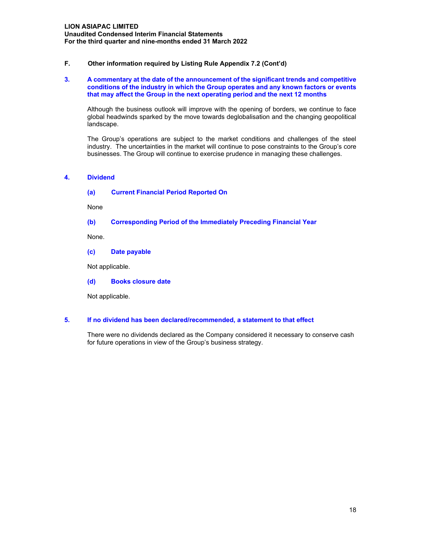## **F. Other information required by Listing Rule Appendix 7.2 (Cont'd)**

#### **3. A commentary at the date of the announcement of the significant trends and competitive conditions of the industry in which the Group operates and any known factors or events that may affect the Group in the next operating period and the next 12 months**

Although the business outlook will improve with the opening of borders, we continue to face global headwinds sparked by the move towards deglobalisation and the changing geopolitical landscape.

The Group's operations are subject to the market conditions and challenges of the steel industry. The uncertainties in the market will continue to pose constraints to the Group's core businesses. The Group will continue to exercise prudence in managing these challenges.

## **4. Dividend**

**(a) Current Financial Period Reported On**

None

#### **(b) Corresponding Period of the Immediately Preceding Financial Year**

None.

**(c) Date payable** 

Not applicable.

**(d) Books closure date** 

Not applicable.

#### **5. If no dividend has been declared/recommended, a statement to that effect**

There were no dividends declared as the Company considered it necessary to conserve cash for future operations in view of the Group's business strategy.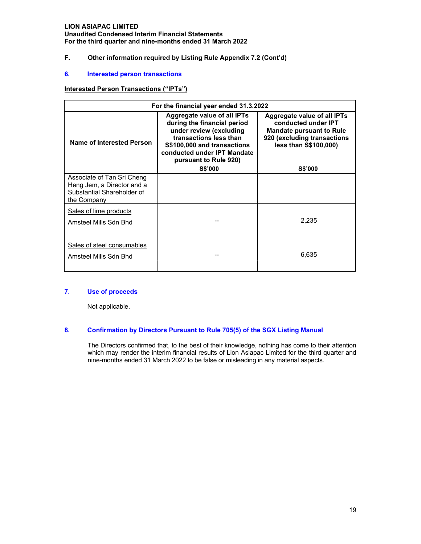**Unaudited Condensed Interim Financial Statements For the third quarter and nine-months ended 31 March 2022**

## **F. Other information required by Listing Rule Appendix 7.2 (Cont'd)**

#### **6. Interested person transactions**

## **Interested Person Transactions ("IPTs")**

| For the financial year ended 31.3.2022                                                                |                                                                                                                                                                                                               |                                                                                                                                               |  |
|-------------------------------------------------------------------------------------------------------|---------------------------------------------------------------------------------------------------------------------------------------------------------------------------------------------------------------|-----------------------------------------------------------------------------------------------------------------------------------------------|--|
| Name of Interested Person                                                                             | <b>Aggregate value of all IPTs</b><br>during the financial period<br>under review (excluding<br>transactions less than<br>S\$100,000 and transactions<br>conducted under IPT Mandate<br>pursuant to Rule 920) | Aggregate value of all IPTs<br>conducted under IPT<br><b>Mandate pursuant to Rule</b><br>920 (excluding transactions<br>less than S\$100,000) |  |
|                                                                                                       | <b>S\$'000</b>                                                                                                                                                                                                | <b>S\$'000</b>                                                                                                                                |  |
| Associate of Tan Sri Cheng<br>Heng Jem, a Director and a<br>Substantial Shareholder of<br>the Company |                                                                                                                                                                                                               |                                                                                                                                               |  |
| Sales of lime products                                                                                |                                                                                                                                                                                                               |                                                                                                                                               |  |
| Amsteel Mills Sdn Bhd                                                                                 |                                                                                                                                                                                                               | 2,235                                                                                                                                         |  |
| Sales of steel consumables<br>Amsteel Mills Sdn Bhd                                                   |                                                                                                                                                                                                               | 6,635                                                                                                                                         |  |

## **7. Use of proceeds**

Not applicable.

## **8. Confirmation by Directors Pursuant to Rule 705(5) of the SGX Listing Manual**

 The Directors confirmed that, to the best of their knowledge, nothing has come to their attention which may render the interim financial results of Lion Asiapac Limited for the third quarter and nine-months ended 31 March 2022 to be false or misleading in any material aspects.